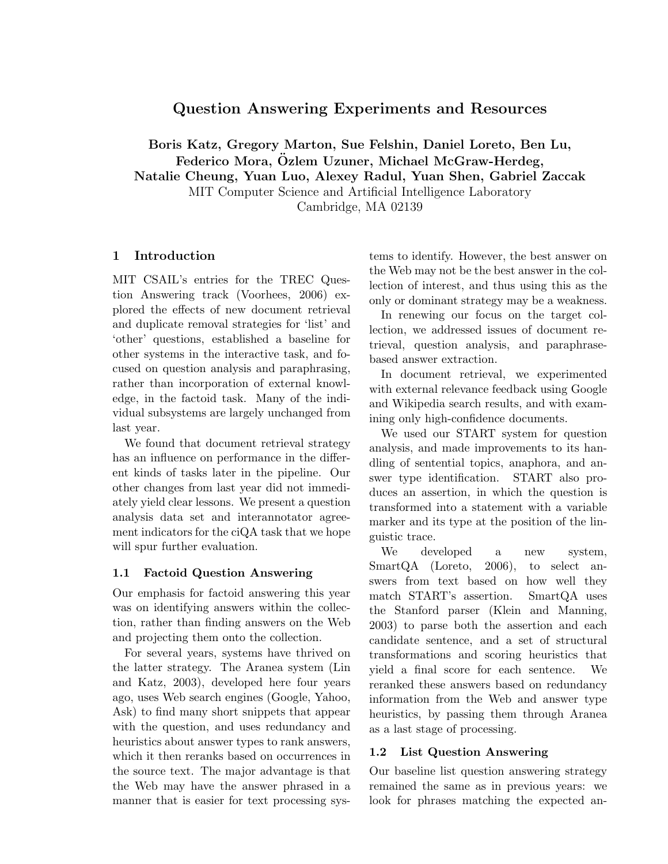# Question Answering Experiments and Resources

Boris Katz, Gregory Marton, Sue Felshin, Daniel Loreto, Ben Lu, Federico Mora, Özlem Uzuner, Michael McGraw-Herdeg, Natalie Cheung, Yuan Luo, Alexey Radul, Yuan Shen, Gabriel Zaccak MIT Computer Science and Artificial Intelligence Laboratory

Cambridge, MA 02139

#### 1 Introduction

MIT CSAIL's entries for the TREC Question Answering track (Voorhees, 2006) explored the effects of new document retrieval and duplicate removal strategies for 'list' and 'other' questions, established a baseline for other systems in the interactive task, and focused on question analysis and paraphrasing, rather than incorporation of external knowledge, in the factoid task. Many of the individual subsystems are largely unchanged from last year.

We found that document retrieval strategy has an influence on performance in the different kinds of tasks later in the pipeline. Our other changes from last year did not immediately yield clear lessons. We present a question analysis data set and interannotator agreement indicators for the ciQA task that we hope will spur further evaluation.

#### 1.1 Factoid Question Answering

Our emphasis for factoid answering this year was on identifying answers within the collection, rather than finding answers on the Web and projecting them onto the collection.

For several years, systems have thrived on the latter strategy. The Aranea system (Lin and Katz, 2003), developed here four years ago, uses Web search engines (Google, Yahoo, Ask) to find many short snippets that appear with the question, and uses redundancy and heuristics about answer types to rank answers, which it then reranks based on occurrences in the source text. The major advantage is that the Web may have the answer phrased in a manner that is easier for text processing systems to identify. However, the best answer on the Web may not be the best answer in the collection of interest, and thus using this as the only or dominant strategy may be a weakness.

In renewing our focus on the target collection, we addressed issues of document retrieval, question analysis, and paraphrasebased answer extraction.

In document retrieval, we experimented with external relevance feedback using Google and Wikipedia search results, and with examining only high-confidence documents.

We used our START system for question analysis, and made improvements to its handling of sentential topics, anaphora, and answer type identification. START also produces an assertion, in which the question is transformed into a statement with a variable marker and its type at the position of the linguistic trace.

We developed a new system, SmartQA (Loreto, 2006), to select answers from text based on how well they match START's assertion. SmartQA uses the Stanford parser (Klein and Manning, 2003) to parse both the assertion and each candidate sentence, and a set of structural transformations and scoring heuristics that yield a final score for each sentence. We reranked these answers based on redundancy information from the Web and answer type heuristics, by passing them through Aranea as a last stage of processing.

#### 1.2 List Question Answering

Our baseline list question answering strategy remained the same as in previous years: we look for phrases matching the expected an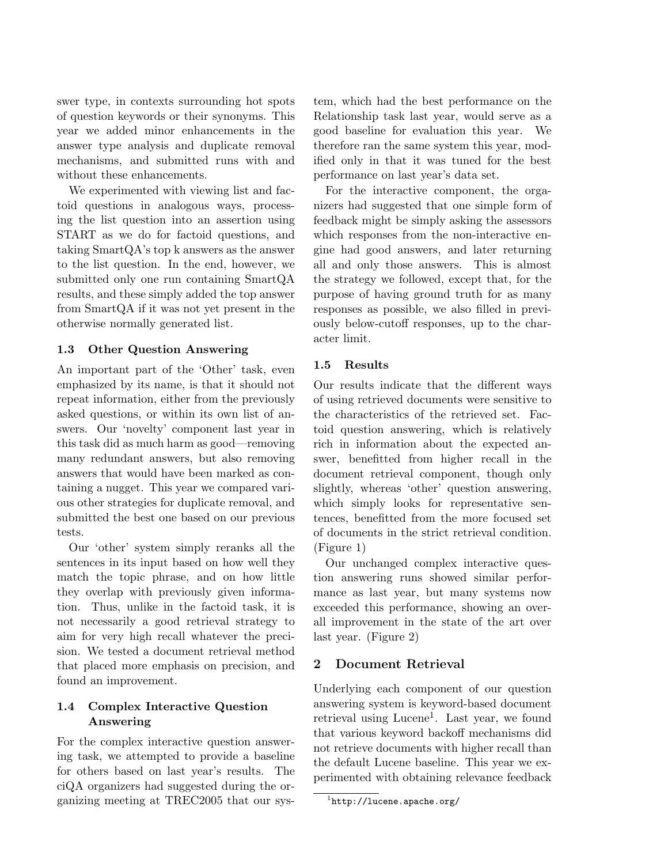swer type, in contexts surrounding hot spots of question keywords or their synonyms. This year we added minor enhancements in the answer type analysis and duplicate removal mechanisms, and submitted runs with and without these enhancements.

We experimented with viewing list and factoid questions in analogous ways, processing the list question into an assertion using START as we do for factoid questions, and taking SmartQA's top k answers as the answer to the list question. In the end, however, we submitted only one run containing SmartQA results, and these simply added the top answer from SmartQA if it was not yet present in the otherwise normally generated list.

#### 1.3 Other Question Answering

An important part of the 'Other' task, even emphasized by its name, is that it should not repeat information, either from the previously asked questions, or within its own list of answers. Our 'novelty' component last year in this task did as much harm as good—removing many redundant answers, but also removing answers that would have been marked as containing a nugget. This year we compared various other strategies for duplicate removal, and submitted the best one based on our previous tests.

Our 'other' system simply reranks all the sentences in its input based on how well they match the topic phrase, and on how little they overlap with previously given information. Thus, unlike in the factoid task, it is not necessarily a good retrieval strategy to aim for very high recall whatever the precision. We tested a document retrieval method that placed more emphasis on precision, and found an improvement.

# 1.4 Complex Interactive Question Answering

For the complex interactive question answering task, we attempted to provide a baseline for others based on last year's results. The ciQA organizers had suggested during the organizing meeting at TREC2005 that our system, which had the best performance on the Relationship task last year, would serve as a good baseline for evaluation this year. We therefore ran the same system this year, modified only in that it was tuned for the best performance on last year's data set.

For the interactive component, the organizers had suggested that one simple form of feedback might be simply asking the assessors which responses from the non-interactive engine had good answers, and later returning all and only those answers. This is almost the strategy we followed, except that, for the purpose of having ground truth for as many responses as possible, we also filled in previously below-cutoff responses, up to the character limit.

## 1.5 Results

Our results indicate that the different ways of using retrieved documents were sensitive to the characteristics of the retrieved set. Factoid question answering, which is relatively rich in information about the expected answer, benefitted from higher recall in the document retrieval component, though only slightly, whereas 'other' question answering, which simply looks for representative sentences, benefitted from the more focused set of documents in the strict retrieval condition. (Figure 1)

Our unchanged complex interactive question answering runs showed similar performance as last year, but many systems now exceeded this performance, showing an overall improvement in the state of the art over last year. (Figure 2)

# 2 Document Retrieval

Underlying each component of our question answering system is keyword-based document retrieval using Lucene<sup>1</sup>. Last year, we found that various keyword backoff mechanisms did not retrieve documents with higher recall than the default Lucene baseline. This year we experimented with obtaining relevance feedback

 $^1$ http:// $1$ ucene.apache.org/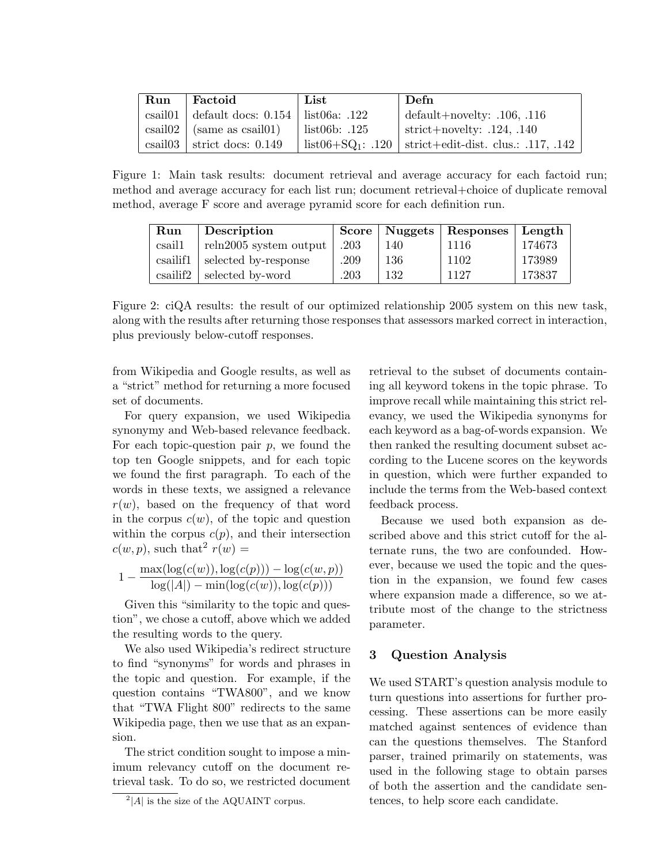| Run     | Factoid                                                      | List                   | Defn                                        |
|---------|--------------------------------------------------------------|------------------------|---------------------------------------------|
|         | csail01   default docs: $0.154$   list06a: .122              |                        | default+novelty: $.106, .116$               |
|         | $\operatorname{csail}02$ (same as $\operatorname{csail}01$ ) | list06b: .125          | strict+novelty: $.124, .140$                |
| csail03 | strict docs: $0.149$                                         | $list06 + SQ_1$ : .120 | $\vert$ strict+edit-dist. clus.: .117, .142 |

Figure 1: Main task results: document retrieval and average accuracy for each factoid run; method and average accuracy for each list run; document retrieval+choice of duplicate removal method, average F score and average pyramid score for each definition run.

| Run      | Description            |      |     | Score   Nuggets   Responses   Length |        |
|----------|------------------------|------|-----|--------------------------------------|--------|
| csail1   | reln2005 system output | .203 | 140 | 1116                                 | 174673 |
| csailif1 | selected by-response   | .209 | 136 | 1102                                 | 173989 |
| csailif2 | selected by-word       | .203 | 132 | 1127                                 | 173837 |

Figure 2: ciQA results: the result of our optimized relationship 2005 system on this new task, along with the results after returning those responses that assessors marked correct in interaction, plus previously below-cutoff responses.

from Wikipedia and Google results, as well as a "strict" method for returning a more focused set of documents.

For query expansion, we used Wikipedia synonymy and Web-based relevance feedback. For each topic-question pair  $p$ , we found the top ten Google snippets, and for each topic we found the first paragraph. To each of the words in these texts, we assigned a relevance  $r(w)$ , based on the frequency of that word in the corpus  $c(w)$ , of the topic and question within the corpus  $c(p)$ , and their intersection  $c(w, p)$ , such that<sup>2</sup>  $r(w) =$ 

$$
1 - \frac{\max(\log(c(w)), \log(c(p))) - \log(c(w, p))}{\log(|A|) - \min(\log(c(w)), \log(c(p)))}
$$

Given this "similarity to the topic and question", we chose a cutoff, above which we added the resulting words to the query.

We also used Wikipedia's redirect structure to find "synonyms" for words and phrases in the topic and question. For example, if the question contains "TWA800", and we know that "TWA Flight 800" redirects to the same Wikipedia page, then we use that as an expansion.

The strict condition sought to impose a minimum relevancy cutoff on the document retrieval task. To do so, we restricted document retrieval to the subset of documents containing all keyword tokens in the topic phrase. To improve recall while maintaining this strict relevancy, we used the Wikipedia synonyms for each keyword as a bag-of-words expansion. We then ranked the resulting document subset according to the Lucene scores on the keywords in question, which were further expanded to include the terms from the Web-based context feedback process.

Because we used both expansion as described above and this strict cutoff for the alternate runs, the two are confounded. However, because we used the topic and the question in the expansion, we found few cases where expansion made a difference, so we attribute most of the change to the strictness parameter.

## 3 Question Analysis

We used START's question analysis module to turn questions into assertions for further processing. These assertions can be more easily matched against sentences of evidence than can the questions themselves. The Stanford parser, trained primarily on statements, was used in the following stage to obtain parses of both the assertion and the candidate sentences, to help score each candidate.

 $^{2}$ |A| is the size of the AQUAINT corpus.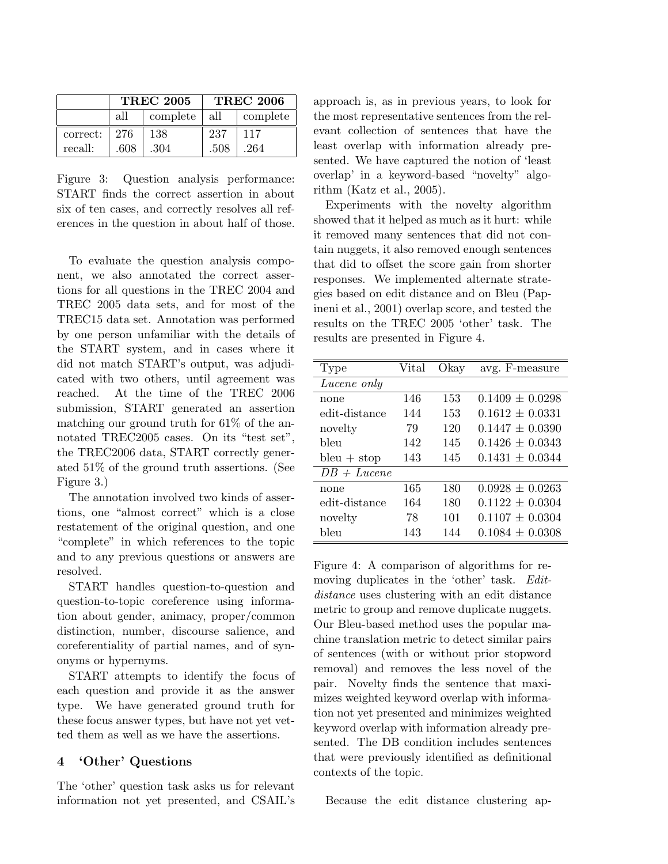|          | <b>TREC 2005</b> |          | <b>TREC 2006</b> |          |
|----------|------------------|----------|------------------|----------|
|          | all              | complete | all              | complete |
| correct: | 276              | 138      | 237              | 117      |
| recall:  | .608             | .304     | .508             | .264     |

Figure 3: Question analysis performance: START finds the correct assertion in about six of ten cases, and correctly resolves all references in the question in about half of those.

To evaluate the question analysis component, we also annotated the correct assertions for all questions in the TREC 2004 and TREC 2005 data sets, and for most of the TREC15 data set. Annotation was performed by one person unfamiliar with the details of the START system, and in cases where it did not match START's output, was adjudicated with two others, until agreement was reached. At the time of the TREC 2006 submission, START generated an assertion matching our ground truth for 61% of the annotated TREC2005 cases. On its "test set", the TREC2006 data, START correctly generated 51% of the ground truth assertions. (See Figure 3.)

The annotation involved two kinds of assertions, one "almost correct" which is a close restatement of the original question, and one "complete" in which references to the topic and to any previous questions or answers are resolved.

START handles question-to-question and question-to-topic coreference using information about gender, animacy, proper/common distinction, number, discourse salience, and coreferentiality of partial names, and of synonyms or hypernyms.

START attempts to identify the focus of each question and provide it as the answer type. We have generated ground truth for these focus answer types, but have not yet vetted them as well as we have the assertions.

## 4 'Other' Questions

The 'other' question task asks us for relevant information not yet presented, and CSAIL's approach is, as in previous years, to look for the most representative sentences from the relevant collection of sentences that have the least overlap with information already presented. We have captured the notion of 'least overlap' in a keyword-based "novelty" algorithm (Katz et al., 2005).

Experiments with the novelty algorithm showed that it helped as much as it hurt: while it removed many sentences that did not contain nuggets, it also removed enough sentences that did to offset the score gain from shorter responses. We implemented alternate strategies based on edit distance and on Bleu (Papineni et al., 2001) overlap score, and tested the results on the TREC 2005 'other' task. The results are presented in Figure 4.

| Type          | Vital | Okay | avg. F-measure      |
|---------------|-------|------|---------------------|
| Lucene only   |       |      |                     |
| none          | 146   | 153  | $0.1409 \pm 0.0298$ |
| edit-distance | 144   | 153  | $0.1612 \pm 0.0331$ |
| novelty       | 79    | 120  | $0.1447 \pm 0.0390$ |
| bleu          | 142   | 145  | $0.1426 + 0.0343$   |
| $bleu + stop$ | 143   | 145  | $0.1431 \pm 0.0344$ |
| $DB + Lucene$ |       |      |                     |
| none          | 165   | 180  | $0.0928 \pm 0.0263$ |
| edit-distance | 164   | 180  | $0.1122 \pm 0.0304$ |
| novelty       | 78    | 101  | $0.1107 \pm 0.0304$ |
| bleu          | 143   | 144  | $0.1084 \pm 0.0308$ |

Figure 4: A comparison of algorithms for removing duplicates in the 'other' task. Editdistance uses clustering with an edit distance metric to group and remove duplicate nuggets. Our Bleu-based method uses the popular machine translation metric to detect similar pairs of sentences (with or without prior stopword removal) and removes the less novel of the pair. Novelty finds the sentence that maximizes weighted keyword overlap with information not yet presented and minimizes weighted keyword overlap with information already presented. The DB condition includes sentences that were previously identified as definitional contexts of the topic.

Because the edit distance clustering ap-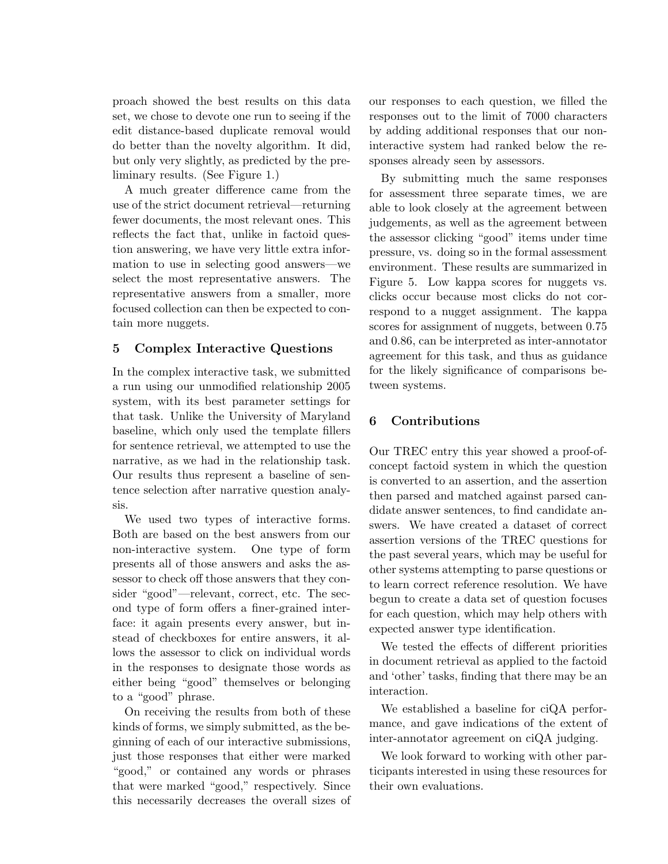proach showed the best results on this data set, we chose to devote one run to seeing if the edit distance-based duplicate removal would do better than the novelty algorithm. It did, but only very slightly, as predicted by the preliminary results. (See Figure 1.)

A much greater difference came from the use of the strict document retrieval—returning fewer documents, the most relevant ones. This reflects the fact that, unlike in factoid question answering, we have very little extra information to use in selecting good answers—we select the most representative answers. The representative answers from a smaller, more focused collection can then be expected to contain more nuggets.

## 5 Complex Interactive Questions

In the complex interactive task, we submitted a run using our unmodified relationship 2005 system, with its best parameter settings for that task. Unlike the University of Maryland baseline, which only used the template fillers for sentence retrieval, we attempted to use the narrative, as we had in the relationship task. Our results thus represent a baseline of sentence selection after narrative question analysis.

We used two types of interactive forms. Both are based on the best answers from our non-interactive system. One type of form presents all of those answers and asks the assessor to check off those answers that they consider "good"—relevant, correct, etc. The second type of form offers a finer-grained interface: it again presents every answer, but instead of checkboxes for entire answers, it allows the assessor to click on individual words in the responses to designate those words as either being "good" themselves or belonging to a "good" phrase.

On receiving the results from both of these kinds of forms, we simply submitted, as the beginning of each of our interactive submissions, just those responses that either were marked "good," or contained any words or phrases that were marked "good," respectively. Since this necessarily decreases the overall sizes of our responses to each question, we filled the responses out to the limit of 7000 characters by adding additional responses that our noninteractive system had ranked below the responses already seen by assessors.

By submitting much the same responses for assessment three separate times, we are able to look closely at the agreement between judgements, as well as the agreement between the assessor clicking "good" items under time pressure, vs. doing so in the formal assessment environment. These results are summarized in Figure 5. Low kappa scores for nuggets vs. clicks occur because most clicks do not correspond to a nugget assignment. The kappa scores for assignment of nuggets, between 0.75 and 0.86, can be interpreted as inter-annotator agreement for this task, and thus as guidance for the likely significance of comparisons between systems.

## 6 Contributions

Our TREC entry this year showed a proof-ofconcept factoid system in which the question is converted to an assertion, and the assertion then parsed and matched against parsed candidate answer sentences, to find candidate answers. We have created a dataset of correct assertion versions of the TREC questions for the past several years, which may be useful for other systems attempting to parse questions or to learn correct reference resolution. We have begun to create a data set of question focuses for each question, which may help others with expected answer type identification.

We tested the effects of different priorities in document retrieval as applied to the factoid and 'other' tasks, finding that there may be an interaction.

We established a baseline for ciQA performance, and gave indications of the extent of inter-annotator agreement on ciQA judging.

We look forward to working with other participants interested in using these resources for their own evaluations.